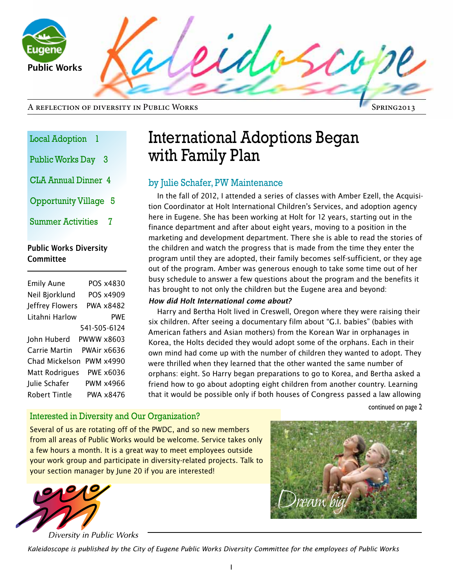uaen Public Works

| <b>Local Adoption</b> |  |
|-----------------------|--|
|-----------------------|--|

- Public Works Day 3
- CLA Annual Dinner 4

Opportunity Village 5

Summer Activities 7

### Public Works Diversity **Committee**

| <b>Emily Aune</b> | POS x4830    |
|-------------------|--------------|
| Neil Bjorklund    | POS x4909    |
| Jeffrey Flowers   | PWA x8482    |
| Litahni Harlow    | <b>PWF</b>   |
|                   | 541-505-6124 |
| John Huberd       | PWWW x8603   |
| Carrie Martin     | PWAir x6636  |
| Chad Mickelson    | PWM x4990    |
| Matt Rodrigues    | PWE x6036    |
| Julie Schafer     | PWM x4966    |
| Robert Tintle     | PWA x8476    |
|                   |              |

# International Adoptions Began with Family Plan

## by Julie Schafer, PW Maintenance

In the fall of 2012, I attended a series of classes with Amber Ezell, the Acquisition Coordinator at Holt International Children's Services, and adoption agency here in Eugene. She has been working at Holt for 12 years, starting out in the finance department and after about eight years, moving to a position in the marketing and development department. There she is able to read the stories of the children and watch the progress that is made from the time they enter the program until they are adopted, their family becomes self-sufficient, or they age out of the program. Amber was generous enough to take some time out of her busy schedule to answer a few questions about the program and the benefits it has brought to not only the children but the Eugene area and beyond:

### *How did Holt International come about?*

Harry and Bertha Holt lived in Creswell, Oregon where they were raising their six children. After seeing a documentary film about "G.I. babies" (babies with American fathers and Asian mothers) from the [Korean War](http://en.wikipedia.org/wiki/Korean_War) in orphanages in [Korea](http://en.wikipedia.org/wiki/Korea), the Holts decided they would adopt some of the orphans. Each in their own mind had come up with the number of children they wanted to adopt. They were thrilled when they learned that the other wanted the same number of orphans: eight. So Harry began preparations to go to Korea, and Bertha asked a friend how to go about adopting eight children from another country. Learning that it would be possible only if both houses of [Congress](http://en.wikipedia.org/wiki/United_States_Congress) passed a law allowing

continued on page 2

### Interested in Diversity and Our Organization?

Several of us are rotating off of the PWDC, and so new members from all areas of Public Works would be welcome. Service takes only a few hours a month. It is a great way to meet employees outside your work group and participate in diversity-related projects. Talk to your section manager by June 20 if you are interested!



Diversity in Public Works



*Kaleidoscope is published by the City of Eugene Public Works Diversity Committee for the employees of Public Works*

Spring2013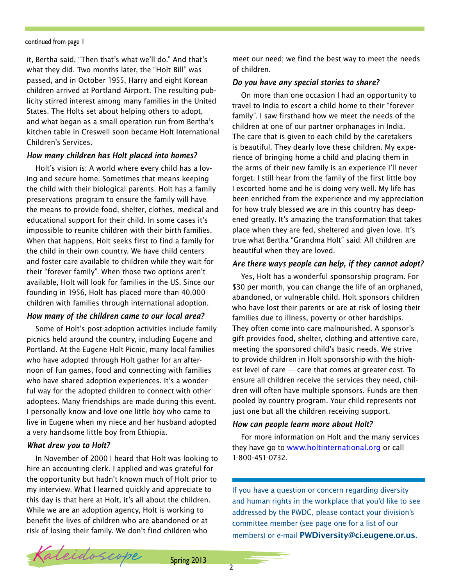#### continued from page 1

it, Bertha said, "Then that's what we'll do." And that's what they did. Two months later, the "[Holt Bill"](http://en.wikipedia.org/w/index.php?title=Bill_for_Relief_of_Certain_War_Orphans&action=edit&redlink=1) was passed, and in October 1955, Harry and eight Korean children arrived at [Portland Airport.](http://en.wikipedia.org/wiki/Portland_International_Airport) The resulting publicity stirred interest among many families in the United States. The Holts set about helping others to adopt, and what began as a small operation run from Bertha's kitchen table in Creswell soon became Holt International Children's Services.

#### *How many children has Holt placed into homes?*

Holt's vision is: A world where every child has a loving and secure home. Sometimes that means keeping the child with their biological parents. Holt has a family preservations program to ensure the family will have the means to provide food, shelter, clothes, medical and educational support for their child. In some cases it's impossible to reunite children with their birth families. When that happens, Holt seeks first to find a family for the child in their own country. We have child centers and foster care available to children while they wait for their "forever family". When those two options aren't available, Holt will look for families in the US. Since our founding in 1956, Holt has placed more than 40,000 children with families through international adoption.

#### *How many of the children came to our local area?*

Some of Holt's post-adoption activities include family picnics held around the country, including Eugene and Portland. At the Eugene Holt Picnic, many local families who have adopted through Holt gather for an afternoon of fun games, food and connecting with families who have shared adoption experiences. It's a wonderful way for the adopted children to connect with other adoptees. Many friendships are made during this event. I personally know and love one little boy who came to live in Eugene when my niece and her husband adopted a very handsome little boy from Ethiopia.

#### *What drew you to Holt?*

In November of 2000 I heard that Holt was looking to hire an accounting clerk. I applied and was grateful for the opportunity but hadn't known much of Holt prior to my interview. What I learned quickly and appreciate to this day is that here at Holt, it's all about the children. While we are an adoption agency, Holt is working to benefit the lives of children who are abandoned or at risk of losing their family. We don't find children who

meet our need; we find the best way to meet the needs of children.

#### *Do you have any special stories to share?*

On more than one occasion I had an opportunity to travel to India to escort a child home to their "forever family". I saw firsthand how we meet the needs of the children at one of our partner orphanages in India. The care that is given to each child by the caretakers is beautiful. They dearly love these children. My experience of bringing home a child and placing them in the arms of their new family is an experience I'll never forget. I still hear from the family of the first little boy I escorted home and he is doing very well. My life has been enriched from the experience and my appreciation for how truly blessed we are in this country has deepened greatly. It's amazing the transformation that takes place when they are fed, sheltered and given love. It's true what Bertha "Grandma Holt" said: All children are beautiful when they are loved.

#### *Are there ways people can help, if they cannot adopt?*

Yes, Holt has a wonderful sponsorship program. For \$30 per month, you can change the life of an orphaned, abandoned, or vulnerable child. Holt sponsors children who have lost their parents or are at risk of losing their families due to illness, poverty or other hardships. They often come into care malnourished. A sponsor's gift provides food, shelter, clothing and attentive care, meeting the sponsored child's basic needs. We strive to provide children in Holt sponsorship with the highest level of care — care that comes at greater cost. To ensure all children receive the services they need, children will often have multiple sponsors. Funds are then pooled by country program. Your child represents not just one but all the children receiving support.

#### *How can people learn more about Holt?*

For more information on Holt and the many services they have go to [www.holtinternational.org](http://www.holtinternational.org) or call 1-800-451-0732.

If you have a question or concern regarding diversity and human rights in the workplace that you'd like to see addressed by the PWDC, please contact your division's committee member (see page one for a list of our members) or e-mail [PWDiversity@ci.eugene.or.us](mailto:PWDiversity@ci.eugene.or.us).

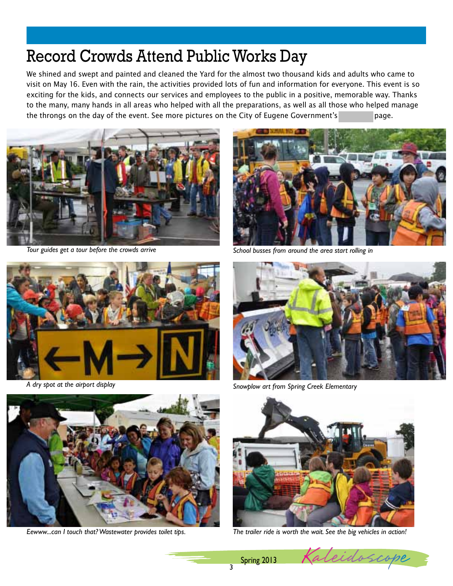# Record Crowds Attend Public Works Day

We shined and swept and painted and cleaned the Yard for the almost two thousand kids and adults who came to visit on May 16. Even with the rain, the activities provided lots of fun and information for everyone. This event is so exciting for the kids, and connects our services and employees to the public in a positive, memorable way. Thanks to the many, many hands in all areas who helped with all the preparations, as well as all those who helped manage the throngs on the day of the event. See more pictures on the City of Eugene Government's Face page.









*Tour guides get a tour before the crowds arrive School busses from around the area start rolling in*



A dry spot at the airport display and the state of the state of the Snowplow art from Spring Creek Elementary



*Eewww...can I touch that? Wastewater provides toilet tips. The trailer ride is worth the wait. See the big vehicles in action!* 



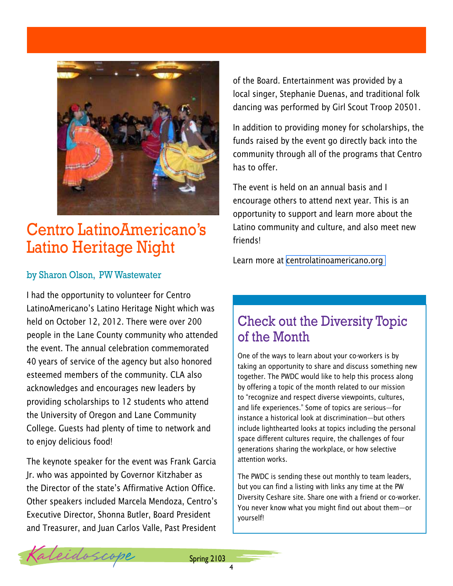

## Centro LatinoAmericano's Latino Heritage Night

### by Sharon Olson, PW Wastewater

I had the opportunity to volunteer for Centro LatinoAmericano's Latino Heritage Night which was held on October 12, 2012. There were over 200 people in the Lane County community who attended the event. The annual celebration commemorated 40 years of service of the agency but also honored esteemed members of the community. CLA also acknowledges and encourages new leaders by providing scholarships to 12 students who attend the University of Oregon and Lane Community College. Guests had plenty of time to network and to enjoy delicious food!

The keynote speaker for the event was Frank Garcia Jr. who was appointed by Governor Kitzhaber as the Director of the state's Affirmative Action Office. Other speakers included Marcela Mendoza, Centro's Executive Director, Shonna Butler, Board President and Treasurer, and Juan Carlos Valle, Past President

of the Board. Entertainment was provided by a local singer, Stephanie Duenas, and traditional folk dancing was performed by Girl Scout Troop 20501.

In addition to providing money for scholarships, the funds raised by the event go directly back into the community through all of the programs that Centro has to offer.

The event is held on an annual basis and I encourage others to attend next year. This is an opportunity to support and learn more about the Latino community and culture, and also meet new friends!

Learn more at [centrolatinoamericano.org](http://centrolatinoamericano.org)

## Check out the Diversity Topic of the Month

One of the ways to learn about your co-workers is by taking an opportunity to share and discuss something new together. The PWDC would like to help this process along by offering a topic of the month related to our mission to "recognize and respect diverse viewpoints, cultures, and life experiences." Some of topics are serious—for instance a historical look at discrimination—but others include lighthearted looks at topics including the personal space different cultures require, the challenges of four generations sharing the workplace, or how selective attention works.

The PWDC is sending these out monthly to team leaders, but you can find a listing with links any time at the PW Diversity Ceshare site. Share one with a friend or co-worker. You never know what you might find out about them—or yourself!

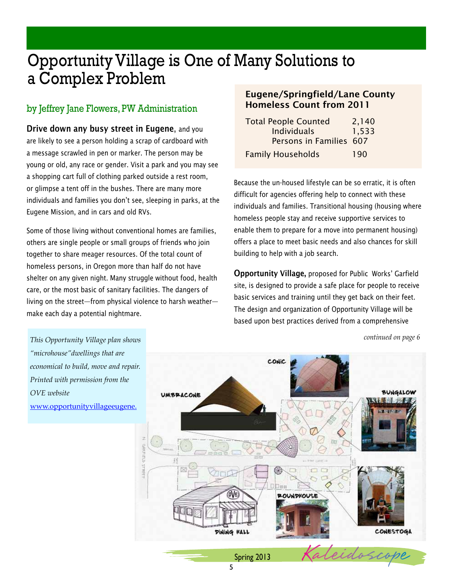# Opportunity Village is One of Many Solutions to a Complex Problem

## by Jeffrey Jane Flowers, PW Administration

Drive down any busy street in Eugene, and you are likely to see a person holding a scrap of cardboard with a message scrawled in pen or marker. The person may be young or old, any race or gender. Visit a park and you may see a shopping cart full of clothing parked outside a rest room, or glimpse a tent off in the bushes. There are many more individuals and families you don't see, sleeping in parks, at the Eugene Mission, and in cars and old RVs.

Some of those living without conventional homes are families, others are single people or small groups of friends who join together to share meager resources. Of the total count of homeless persons, in Oregon more than half do not have shelter on any given night. Many struggle without food, health care, or the most basic of sanitary facilities. The dangers of living on the street—from physical violence to harsh weather make each day a potential nightmare.

### Eugene/Springfield/Lane County Homeless Count from 2011

| <b>Total People Counted</b> | 2,140 |
|-----------------------------|-------|
| <b>Individuals</b>          | 1,533 |
| Persons in Families 607     |       |
| <b>Family Households</b>    | 190   |

Because the un-housed lifestyle can be so erratic, it is often difficult for agencies offering help to connect with these individuals and families. Transitional housing (housing where homeless people stay and receive supportive services to enable them to prepare for a move into permanent housing) offers a place to meet basic needs and also chances for skill building to help with a job search.

Opportunity Village, proposed for Public Works' Garfield site, is designed to provide a safe place for people to receive basic services and training until they get back on their feet. The design and organization of Opportunity Village will be based upon best practices derived from a comprehensive

*This Opportunity Village plan shows "microhouse"dwellings that are*  CONIC *economical to build, move and repair. Printed with permission from the*  **BUNGALOW** *OVE website*  **UMBRACONE** [www.opportunityvillageeugene.](www.opportunityvillageeugene.org) 中国国家 ÔVE **POUNDHOUSE** DINING HALL CONESTOGA  $S_{\text{Dring 2013}}$  Kaleidos

*continued on page 6*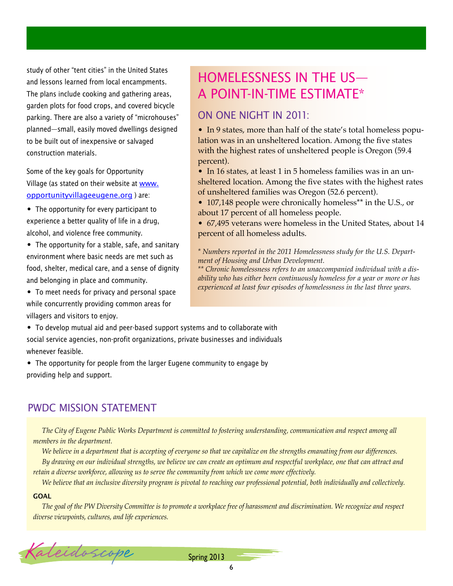study of other "tent cities" in the United States and lessons learned from local encampments. The plans include cooking and gathering areas, garden plots for food crops, and covered bicycle parking. There are also a variety of "microhouses" planned—small, easily moved dwellings designed to be built out of inexpensive or salvaged construction materials.

Some of the key goals for Opportunity Village (as stated on their website at [www.](www.opportunityvillageeugene.org) [opportunityvillageeugene.org](www.opportunityvillageeugene.org)) are:

- The opportunity for every participant to experience a better quality of life in a drug, alcohol, and violence free community.
- The opportunity for a stable, safe, and sanitary environment where basic needs are met such as food, shelter, medical care, and a sense of dignity and belonging in place and community.
- To meet needs for privacy and personal space while concurrently providing common areas for villagers and visitors to enjoy.

#### • To develop mutual aid and peer-based support systems and to collaborate with social service agencies, non-profit organizations, private businesses and individuals

- whenever feasible.
- The opportunity for people from the larger Eugene community to engage by providing help and support.

## PWDC MISSION STATEMENT

*The City of Eugene Public Works Department is committed to fostering understanding, communication and respect among all members in the department.* 

*We believe in a department that is accepting of everyone so that we capitalize on the strengths emanating from our differences.*

*By drawing on our individual strengths, we believe we can create an optimum and respectful workplace, one that can attract and retain a diverse workforce, allowing us to serve the community from which we come more effectively.*

*We believe that an inclusive diversity program is pivotal to reaching our professional potential, both individually and collectively.*

#### **GOAL**

*The goal of the PW Diversity Committee is to promote a workplace free of harassment and discrimination. We recognize and respect diverse viewpoints, cultures, and life experiences.*

## Homelessness in the US a Point-in-Time Estimate \*

### On one night in 2011:

• In 9 states, more than half of the state's total homeless population was in an unsheltered location. Among the five states with the highest rates of unsheltered people is Oregon (59.4) percent).

• In 16 states, at least 1 in 5 homeless families was in an unsheltered location. Among the five states with the highest rates of unsheltered families was Oregon (52.6 percent).

• 107,148 people were chronically homeless<sup>\*\*</sup> in the U.S., or about 17 percent of all homeless people.

• 67,495 veterans were homeless in the United States, about 14 percent of all homeless adults.

*\* Numbers reported in the 2011 Homelessness study for the U.S. Department of Housing and Urban Development.*

*\*\* Chronic homelessness refers to an unaccompanied individual with a disability who has either been continuously homeless for a year or more or has experienced at least four episodes of homelessness in the last three years.*